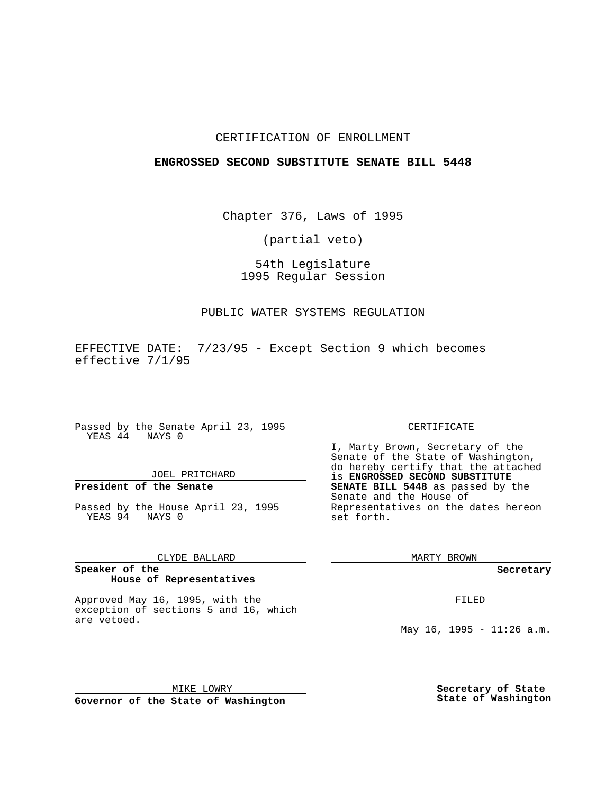## CERTIFICATION OF ENROLLMENT

## **ENGROSSED SECOND SUBSTITUTE SENATE BILL 5448**

Chapter 376, Laws of 1995

(partial veto)

# 54th Legislature 1995 Regular Session

## PUBLIC WATER SYSTEMS REGULATION

EFFECTIVE DATE: 7/23/95 - Except Section 9 which becomes effective 7/1/95

Passed by the Senate April 23, 1995 YEAS 44 NAYS 0

# JOEL PRITCHARD

# **President of the Senate**

Passed by the House April 23, 1995 YEAS 94 NAYS 0

#### CLYDE BALLARD

#### **Speaker of the House of Representatives**

Approved May 16, 1995, with the exception of sections 5 and 16, which are vetoed.

MIKE LOWRY **Governor of the State of Washington**

## CERTIFICATE

I, Marty Brown, Secretary of the Senate of the State of Washington, do hereby certify that the attached is **ENGROSSED SECOND SUBSTITUTE SENATE BILL 5448** as passed by the Senate and the House of Representatives on the dates hereon set forth.

MARTY BROWN

**Secretary**

FILED

May 16, 1995 - 11:26 a.m.

**Secretary of State State of Washington**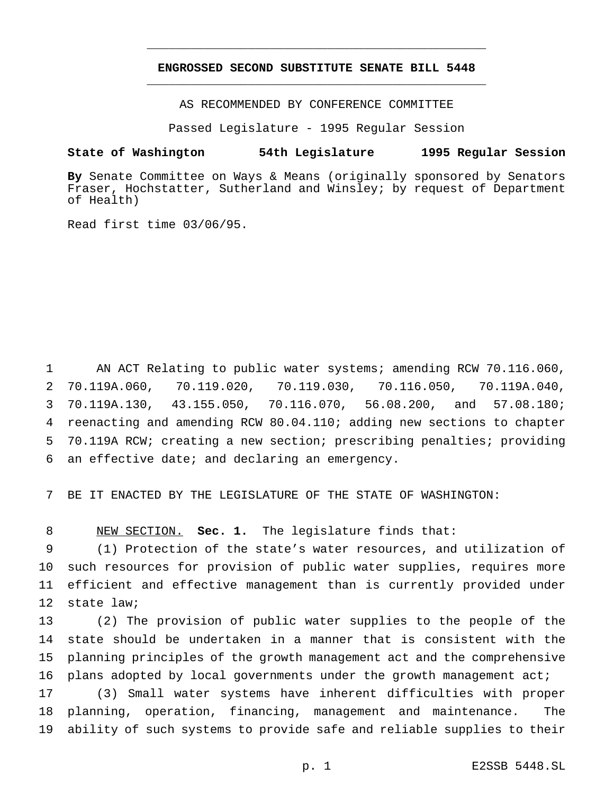# **ENGROSSED SECOND SUBSTITUTE SENATE BILL 5448** \_\_\_\_\_\_\_\_\_\_\_\_\_\_\_\_\_\_\_\_\_\_\_\_\_\_\_\_\_\_\_\_\_\_\_\_\_\_\_\_\_\_\_\_\_\_\_

\_\_\_\_\_\_\_\_\_\_\_\_\_\_\_\_\_\_\_\_\_\_\_\_\_\_\_\_\_\_\_\_\_\_\_\_\_\_\_\_\_\_\_\_\_\_\_

AS RECOMMENDED BY CONFERENCE COMMITTEE

Passed Legislature - 1995 Regular Session

## **State of Washington 54th Legislature 1995 Regular Session**

**By** Senate Committee on Ways & Means (originally sponsored by Senators Fraser, Hochstatter, Sutherland and Winsley; by request of Department of Health)

Read first time 03/06/95.

1 AN ACT Relating to public water systems; amending RCW 70.116.060, 70.119A.060, 70.119.020, 70.119.030, 70.116.050, 70.119A.040, 70.119A.130, 43.155.050, 70.116.070, 56.08.200, and 57.08.180; reenacting and amending RCW 80.04.110; adding new sections to chapter 70.119A RCW; creating a new section; prescribing penalties; providing an effective date; and declaring an emergency.

7 BE IT ENACTED BY THE LEGISLATURE OF THE STATE OF WASHINGTON:

8 NEW SECTION. **Sec. 1.** The legislature finds that:

 (1) Protection of the state's water resources, and utilization of such resources for provision of public water supplies, requires more efficient and effective management than is currently provided under state law;

 (2) The provision of public water supplies to the people of the state should be undertaken in a manner that is consistent with the planning principles of the growth management act and the comprehensive 16 plans adopted by local governments under the growth management act;

17 (3) Small water systems have inherent difficulties with proper 18 planning, operation, financing, management and maintenance. The 19 ability of such systems to provide safe and reliable supplies to their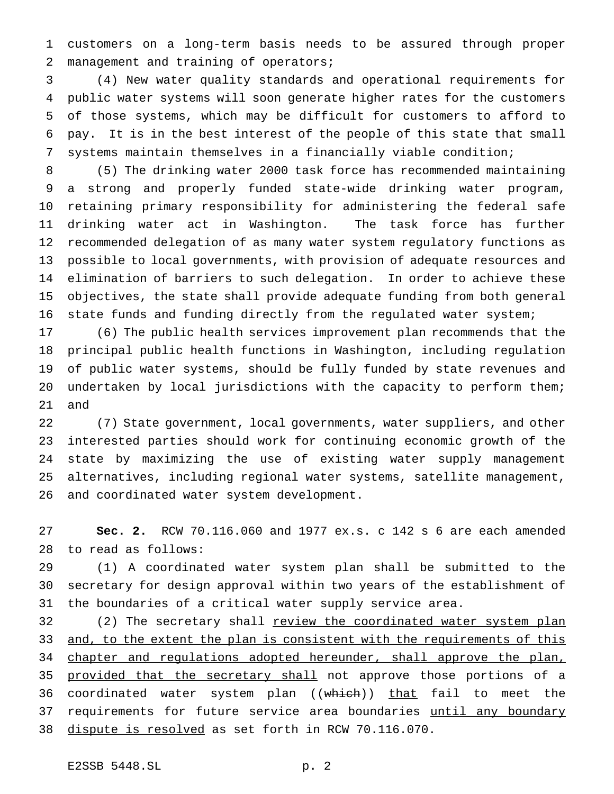customers on a long-term basis needs to be assured through proper management and training of operators;

 (4) New water quality standards and operational requirements for public water systems will soon generate higher rates for the customers of those systems, which may be difficult for customers to afford to pay. It is in the best interest of the people of this state that small systems maintain themselves in a financially viable condition;

 (5) The drinking water 2000 task force has recommended maintaining a strong and properly funded state-wide drinking water program, retaining primary responsibility for administering the federal safe drinking water act in Washington. The task force has further recommended delegation of as many water system regulatory functions as possible to local governments, with provision of adequate resources and elimination of barriers to such delegation. In order to achieve these objectives, the state shall provide adequate funding from both general state funds and funding directly from the regulated water system;

 (6) The public health services improvement plan recommends that the principal public health functions in Washington, including regulation of public water systems, should be fully funded by state revenues and undertaken by local jurisdictions with the capacity to perform them; and

 (7) State government, local governments, water suppliers, and other interested parties should work for continuing economic growth of the state by maximizing the use of existing water supply management alternatives, including regional water systems, satellite management, and coordinated water system development.

 **Sec. 2.** RCW 70.116.060 and 1977 ex.s. c 142 s 6 are each amended to read as follows:

 (1) A coordinated water system plan shall be submitted to the secretary for design approval within two years of the establishment of the boundaries of a critical water supply service area.

32 (2) The secretary shall review the coordinated water system plan 33 and, to the extent the plan is consistent with the requirements of this chapter and regulations adopted hereunder, shall approve the plan, 35 provided that the secretary shall not approve those portions of a 36 coordinated water system plan ((which)) that fail to meet the 37 requirements for future service area boundaries until any boundary dispute is resolved as set forth in RCW 70.116.070.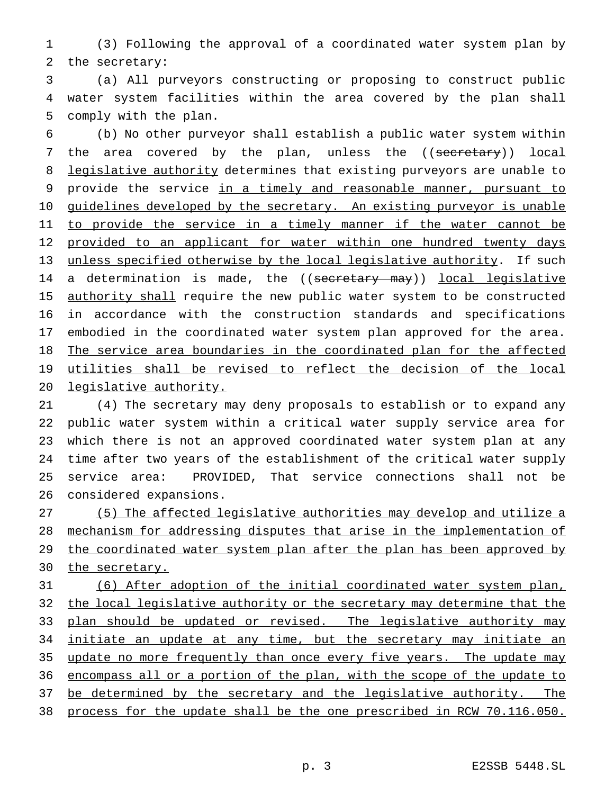(3) Following the approval of a coordinated water system plan by the secretary:

 (a) All purveyors constructing or proposing to construct public water system facilities within the area covered by the plan shall comply with the plan.

 (b) No other purveyor shall establish a public water system within 7 the area covered by the plan, unless the ((secretary)) local 8 legislative authority determines that existing purveyors are unable to provide the service in a timely and reasonable manner, pursuant to 10 guidelines developed by the secretary. An existing purveyor is unable 11 to provide the service in a timely manner if the water cannot be 12 provided to an applicant for water within one hundred twenty days unless specified otherwise by the local legislative authority. If such 14 a determination is made, the ((secretary may)) local legislative 15 <u>authority shall</u> require the new public water system to be constructed in accordance with the construction standards and specifications embodied in the coordinated water system plan approved for the area. The service area boundaries in the coordinated plan for the affected utilities shall be revised to reflect the decision of the local legislative authority.

 (4) The secretary may deny proposals to establish or to expand any public water system within a critical water supply service area for which there is not an approved coordinated water system plan at any time after two years of the establishment of the critical water supply service area: PROVIDED, That service connections shall not be considered expansions.

 (5) The affected legislative authorities may develop and utilize a mechanism for addressing disputes that arise in the implementation of 29 the coordinated water system plan after the plan has been approved by 30 the secretary.

 (6) After adoption of the initial coordinated water system plan, 32 the local legislative authority or the secretary may determine that the 33 plan should be updated or revised. The legislative authority may 34 initiate an update at any time, but the secretary may initiate an update no more frequently than once every five years. The update may encompass all or a portion of the plan, with the scope of the update to 37 be determined by the secretary and the legislative authority. The process for the update shall be the one prescribed in RCW 70.116.050.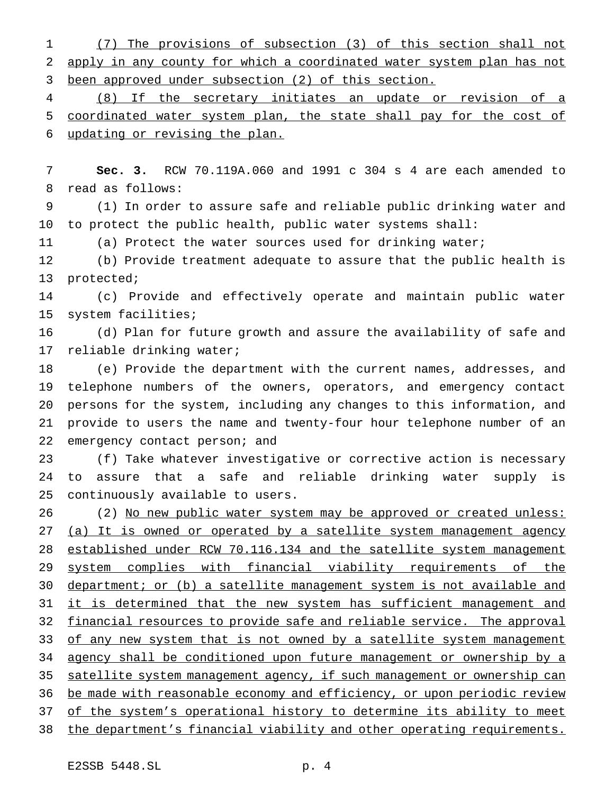(7) The provisions of subsection (3) of this section shall not apply in any county for which a coordinated water system plan has not been approved under subsection (2) of this section.

 (8) If the secretary initiates an update or revision of a coordinated water system plan, the state shall pay for the cost of updating or revising the plan.

 **Sec. 3.** RCW 70.119A.060 and 1991 c 304 s 4 are each amended to read as follows:

 (1) In order to assure safe and reliable public drinking water and to protect the public health, public water systems shall:

(a) Protect the water sources used for drinking water;

 (b) Provide treatment adequate to assure that the public health is protected;

 (c) Provide and effectively operate and maintain public water system facilities;

 (d) Plan for future growth and assure the availability of safe and reliable drinking water;

 (e) Provide the department with the current names, addresses, and telephone numbers of the owners, operators, and emergency contact persons for the system, including any changes to this information, and provide to users the name and twenty-four hour telephone number of an 22 emergency contact person; and

 (f) Take whatever investigative or corrective action is necessary to assure that a safe and reliable drinking water supply is continuously available to users.

26 (2) No new public water system may be approved or created unless: 27 (a) It is owned or operated by a satellite system management agency 28 established under RCW 70.116.134 and the satellite system management system complies with financial viability requirements of the 30 department; or (b) a satellite management system is not available and 31 it is determined that the new system has sufficient management and 32 financial resources to provide safe and reliable service. The approval 33 of any new system that is not owned by a satellite system management agency shall be conditioned upon future management or ownership by a 35 satellite system management agency, if such management or ownership can be made with reasonable economy and efficiency, or upon periodic review of the system's operational history to determine its ability to meet the department's financial viability and other operating requirements.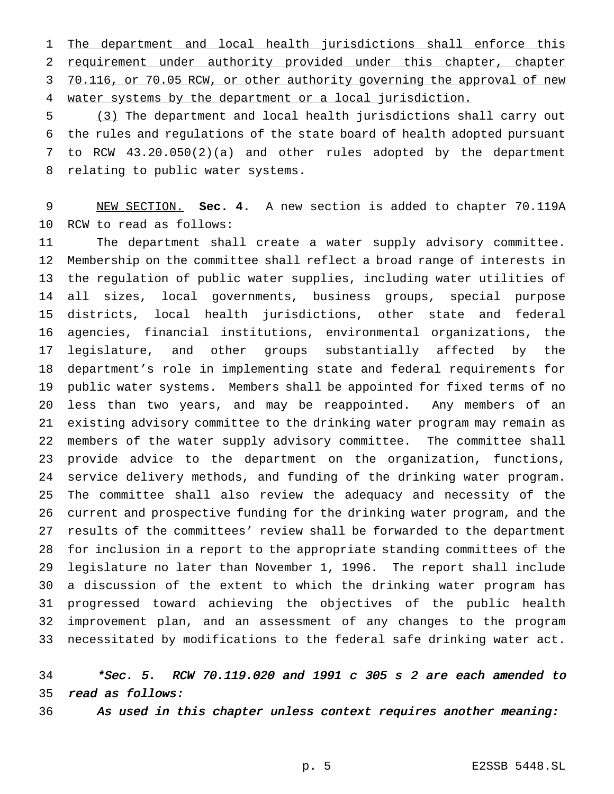1 The department and local health jurisdictions shall enforce this requirement under authority provided under this chapter, chapter 3 70.116, or 70.05 RCW, or other authority governing the approval of new water systems by the department or a local jurisdiction.

 (3) The department and local health jurisdictions shall carry out the rules and regulations of the state board of health adopted pursuant to RCW 43.20.050(2)(a) and other rules adopted by the department relating to public water systems.

 NEW SECTION. **Sec. 4.** A new section is added to chapter 70.119A RCW to read as follows:

 The department shall create a water supply advisory committee. Membership on the committee shall reflect a broad range of interests in the regulation of public water supplies, including water utilities of all sizes, local governments, business groups, special purpose districts, local health jurisdictions, other state and federal agencies, financial institutions, environmental organizations, the legislature, and other groups substantially affected by the department's role in implementing state and federal requirements for public water systems. Members shall be appointed for fixed terms of no less than two years, and may be reappointed. Any members of an existing advisory committee to the drinking water program may remain as members of the water supply advisory committee. The committee shall provide advice to the department on the organization, functions, service delivery methods, and funding of the drinking water program. The committee shall also review the adequacy and necessity of the current and prospective funding for the drinking water program, and the results of the committees' review shall be forwarded to the department for inclusion in a report to the appropriate standing committees of the legislature no later than November 1, 1996. The report shall include a discussion of the extent to which the drinking water program has progressed toward achieving the objectives of the public health improvement plan, and an assessment of any changes to the program necessitated by modifications to the federal safe drinking water act.

# \*Sec. 5. RCW 70.119.020 and <sup>1991</sup> <sup>c</sup> <sup>305</sup> <sup>s</sup> <sup>2</sup> are each amended to read as follows:

- 
- 

As used in this chapter unless context requires another meaning: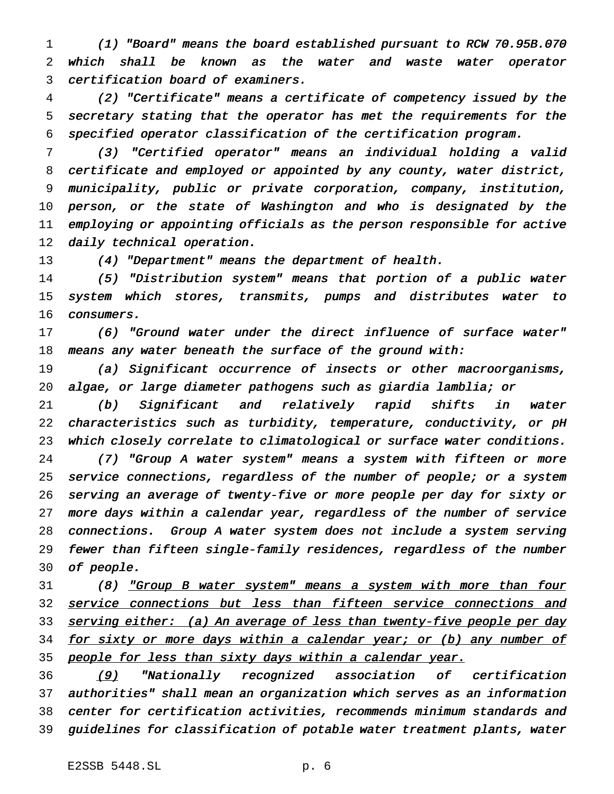(1) "Board" means the board established pursuant to RCW 70.95B.070 which shall be known as the water and waste water operator certification board of examiners.

 (2) "Certificate" means <sup>a</sup> certificate of competency issued by the secretary stating that the operator has met the requirements for the specified operator classification of the certification program.

 (3) "Certified operator" means an individual holding <sup>a</sup> valid certificate and employed or appointed by any county, water district, municipality, public or private corporation, company, institution, person, or the state of Washington and who is designated by the employing or appointing officials as the person responsible for active 12 daily technical operation.

13 (4) "Department" means the department of health.

 (5) "Distribution system" means that portion of <sup>a</sup> public water system which stores, transmits, pumps and distributes water to consumers.

 (6) "Ground water under the direct influence of surface water" 18 means any water beneath the surface of the ground with:

 (a) Significant occurrence of insects or other macroorganisms, algae, or large diameter pathogens such as giardia lamblia; or

 (b) Significant and relatively rapid shifts in water characteristics such as turbidity, temperature, conductivity, or pH which closely correlate to climatological or surface water conditions.

 (7) "Group <sup>A</sup> water system" means <sup>a</sup> system with fifteen or more service connections, regardless of the number of people; or <sup>a</sup> system serving an average of twenty-five or more people per day for sixty or more days within <sup>a</sup> calendar year, regardless of the number of service connections. Group <sup>A</sup> water system does not include <sup>a</sup> system serving fewer than fifteen single-family residences, regardless of the number of people.

 (8) "Group <sup>B</sup> water system" means <sup>a</sup> system with more than four 32 service connections but less than fifteen service connections and 33 serving either: (a) An average of less than twenty-five people per day 34 for sixty or more days within a calendar year; or (b) any number of 35 people for less than sixty days within a calendar year.

36 (9) "Nationally recognized association of certification authorities" shall mean an organization which serves as an information center for certification activities, recommends minimum standards and guidelines for classification of potable water treatment plants, water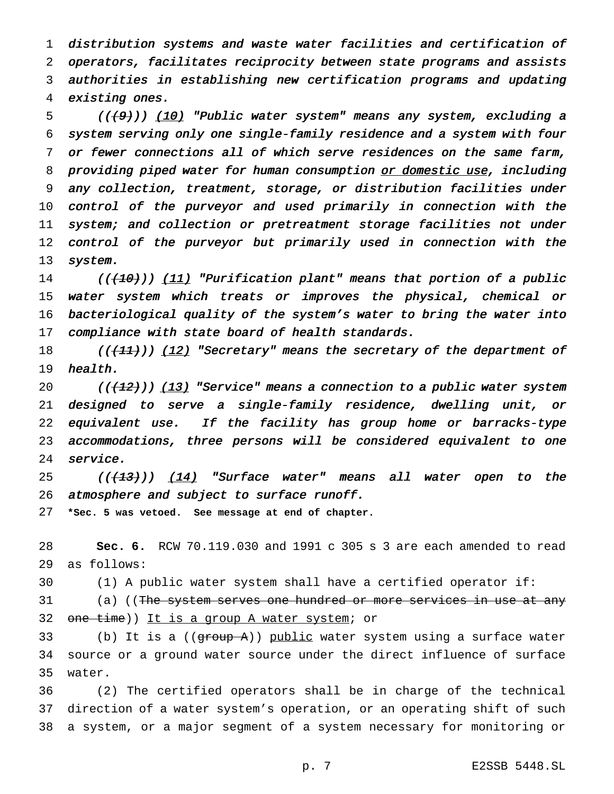distribution systems and waste water facilities and certification of operators, facilitates reciprocity between state programs and assists authorities in establishing new certification programs and updating existing ones.

5 (((9)) (10) "Public water system" means any system, excluding a system serving only one single-family residence and <sup>a</sup> system with four or fewer connections all of which serve residences on the same farm, 8 providing piped water for human consumption or domestic use, including any collection, treatment, storage, or distribution facilities under control of the purveyor and used primarily in connection with the system; and collection or pretreatment storage facilities not under control of the purveyor but primarily used in connection with the system.

14 ((<del>(10)</del>)) <u>(11)</u> "Purification plant" means that portion of a public water system which treats or improves the physical, chemical or bacteriological quality of the system's water to bring the water into 17 compliance with state board of health standards.

18 (( $\left($ ( $\left($  $\{11\}$ ))  $\left($   $12\right)$  "Secretary" means the secretary of the department of health.

 $((+12)')$  (13) "Service" means a connection to a public water system designed to serve <sup>a</sup> single-family residence, dwelling unit, or equivalent use. If the facility has group home or barracks-type accommodations, three persons will be considered equivalent to one service.

25 ( $($  $(13)$ ))  $(14)$  "Surface water" means all water open to the 26 atmosphere and subject to surface runoff.

**\*Sec. 5 was vetoed. See message at end of chapter.**

 **Sec. 6.** RCW 70.119.030 and 1991 c 305 s 3 are each amended to read as follows:

(1) A public water system shall have a certified operator if:

31 (a) ((The system serves one hundred or more services in use at any 32 one time)) It is a group A water system; or

33 (b) It is a  $((\text{group A}))$  public water system using a surface water source or a ground water source under the direct influence of surface water.

 (2) The certified operators shall be in charge of the technical direction of a water system's operation, or an operating shift of such a system, or a major segment of a system necessary for monitoring or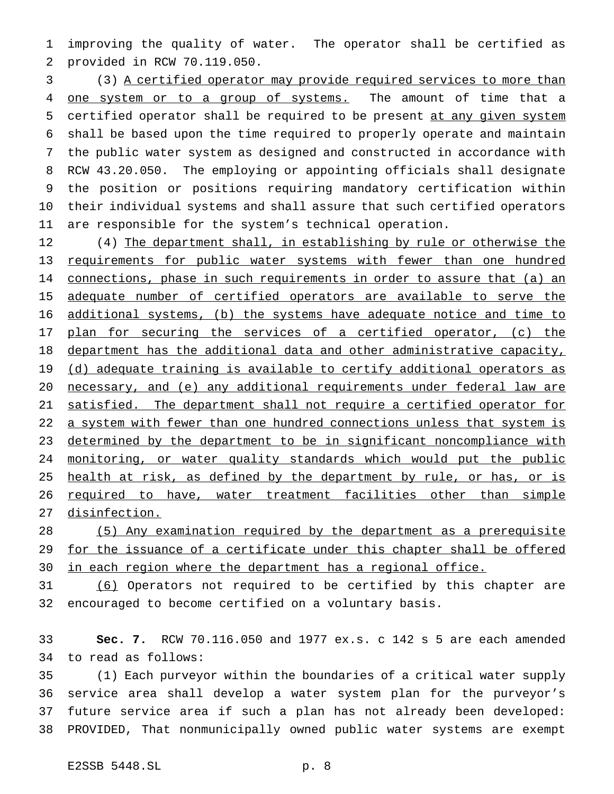improving the quality of water. The operator shall be certified as provided in RCW 70.119.050.

 (3) A certified operator may provide required services to more than 4 one system or to a group of systems. The amount of time that a certified operator shall be required to be present at any given system shall be based upon the time required to properly operate and maintain the public water system as designed and constructed in accordance with RCW 43.20.050. The employing or appointing officials shall designate the position or positions requiring mandatory certification within their individual systems and shall assure that such certified operators are responsible for the system's technical operation.

12 (4) The department shall, in establishing by rule or otherwise the requirements for public water systems with fewer than one hundred 14 connections, phase in such requirements in order to assure that (a) an 15 adequate number of certified operators are available to serve the additional systems, (b) the systems have adequate notice and time to 17 plan for securing the services of a certified operator, (c) the department has the additional data and other administrative capacity, 19 (d) adequate training is available to certify additional operators as necessary, and (e) any additional requirements under federal law are satisfied. The department shall not require a certified operator for 22 a system with fewer than one hundred connections unless that system is determined by the department to be in significant noncompliance with 24 monitoring, or water quality standards which would put the public 25 health at risk, as defined by the department by rule, or has, or is 26 required to have, water treatment facilities other than simple disinfection.

 (5) Any examination required by the department as a prerequisite 29 for the issuance of a certificate under this chapter shall be offered in each region where the department has a regional office.

 (6) Operators not required to be certified by this chapter are encouraged to become certified on a voluntary basis.

 **Sec. 7.** RCW 70.116.050 and 1977 ex.s. c 142 s 5 are each amended to read as follows:

 (1) Each purveyor within the boundaries of a critical water supply service area shall develop a water system plan for the purveyor's future service area if such a plan has not already been developed: PROVIDED, That nonmunicipally owned public water systems are exempt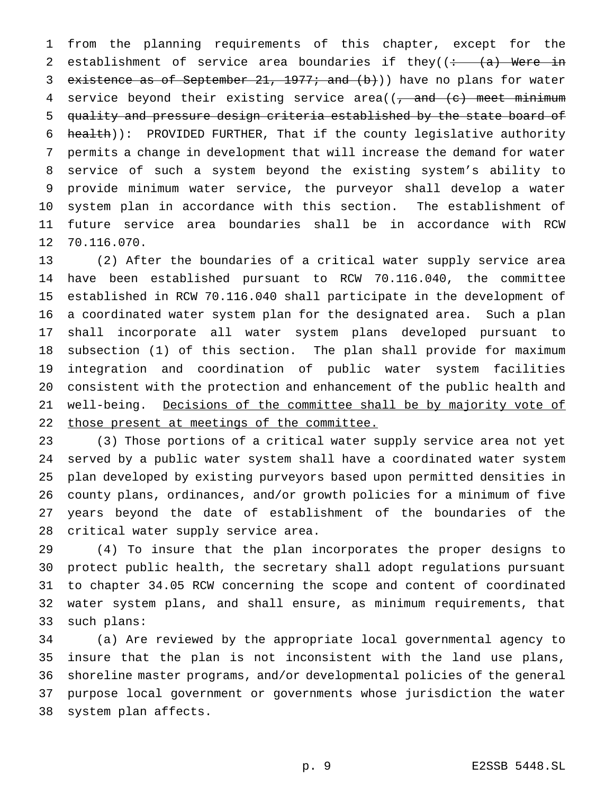from the planning requirements of this chapter, except for the 2 establishment of service area boundaries if they( $\left(\div -\left(\frac{a}{a}\right)\right)$  Were in 3 existence as of September  $21, 1977$ ; and  $(b)$ )) have no plans for water 4 service beyond their existing service area( $(-\text{ and } (-\text{ }^{\circ})$  meet minimum quality and pressure design criteria established by the state board of 6 health)): PROVIDED FURTHER, That if the county legislative authority permits a change in development that will increase the demand for water service of such a system beyond the existing system's ability to provide minimum water service, the purveyor shall develop a water system plan in accordance with this section. The establishment of future service area boundaries shall be in accordance with RCW 70.116.070.

 (2) After the boundaries of a critical water supply service area have been established pursuant to RCW 70.116.040, the committee established in RCW 70.116.040 shall participate in the development of a coordinated water system plan for the designated area. Such a plan shall incorporate all water system plans developed pursuant to subsection (1) of this section. The plan shall provide for maximum integration and coordination of public water system facilities consistent with the protection and enhancement of the public health and 21 well-being. Decisions of the committee shall be by majority vote of 22 those present at meetings of the committee.

 (3) Those portions of a critical water supply service area not yet served by a public water system shall have a coordinated water system plan developed by existing purveyors based upon permitted densities in county plans, ordinances, and/or growth policies for a minimum of five years beyond the date of establishment of the boundaries of the critical water supply service area.

 (4) To insure that the plan incorporates the proper designs to protect public health, the secretary shall adopt regulations pursuant to chapter 34.05 RCW concerning the scope and content of coordinated water system plans, and shall ensure, as minimum requirements, that such plans:

 (a) Are reviewed by the appropriate local governmental agency to insure that the plan is not inconsistent with the land use plans, shoreline master programs, and/or developmental policies of the general purpose local government or governments whose jurisdiction the water system plan affects.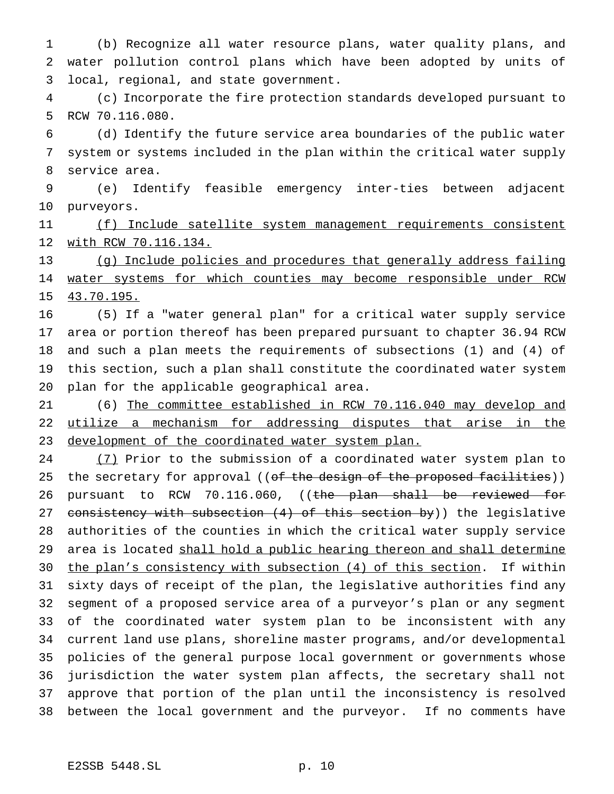(b) Recognize all water resource plans, water quality plans, and water pollution control plans which have been adopted by units of local, regional, and state government.

 (c) Incorporate the fire protection standards developed pursuant to RCW 70.116.080.

 (d) Identify the future service area boundaries of the public water system or systems included in the plan within the critical water supply service area.

 (e) Identify feasible emergency inter-ties between adjacent purveyors.

 (f) Include satellite system management requirements consistent with RCW 70.116.134.

 (g) Include policies and procedures that generally address failing 14 water systems for which counties may become responsible under RCW 43.70.195.

 (5) If a "water general plan" for a critical water supply service area or portion thereof has been prepared pursuant to chapter 36.94 RCW and such a plan meets the requirements of subsections (1) and (4) of this section, such a plan shall constitute the coordinated water system plan for the applicable geographical area.

 (6) The committee established in RCW 70.116.040 may develop and utilize a mechanism for addressing disputes that arise in the 23 development of the coordinated water system plan.

24 (7) Prior to the submission of a coordinated water system plan to 25 the secretary for approval ((of the design of the proposed facilities)) 26 pursuant to RCW 70.116.060, ((the plan shall be reviewed for 27 consistency with subsection (4) of this section by)) the legislative authorities of the counties in which the critical water supply service 29 area is located shall hold a public hearing thereon and shall determine 30 the plan's consistency with subsection (4) of this section. If within sixty days of receipt of the plan, the legislative authorities find any segment of a proposed service area of a purveyor's plan or any segment of the coordinated water system plan to be inconsistent with any current land use plans, shoreline master programs, and/or developmental policies of the general purpose local government or governments whose jurisdiction the water system plan affects, the secretary shall not approve that portion of the plan until the inconsistency is resolved between the local government and the purveyor. If no comments have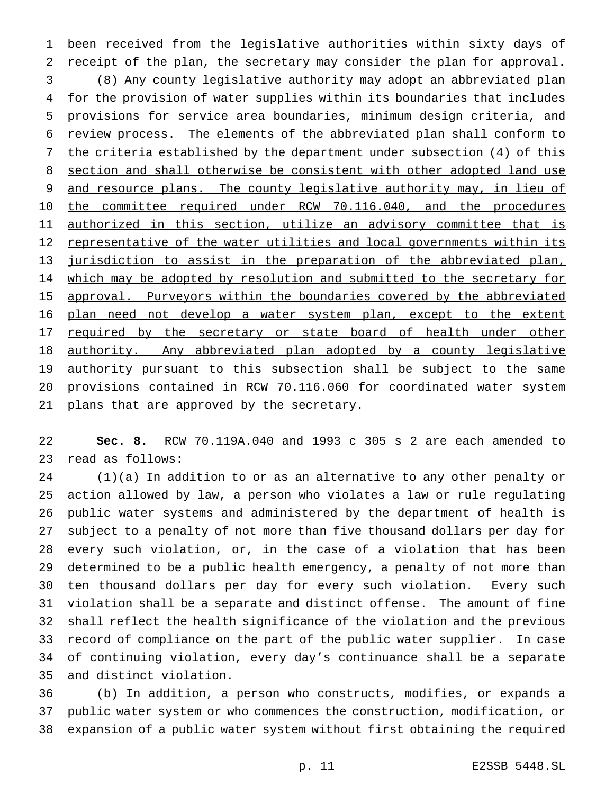been received from the legislative authorities within sixty days of receipt of the plan, the secretary may consider the plan for approval. (8) Any county legislative authority may adopt an abbreviated plan 4 for the provision of water supplies within its boundaries that includes provisions for service area boundaries, minimum design criteria, and review process. The elements of the abbreviated plan shall conform to 7 the criteria established by the department under subsection (4) of this section and shall otherwise be consistent with other adopted land use 9 and resource plans. The county legislative authority may, in lieu of 10 the committee required under RCW 70.116.040, and the procedures authorized in this section, utilize an advisory committee that is 12 representative of the water utilities and local governments within its jurisdiction to assist in the preparation of the abbreviated plan, 14 which may be adopted by resolution and submitted to the secretary for 15 approval. Purveyors within the boundaries covered by the abbreviated 16 plan need not develop a water system plan, except to the extent 17 required by the secretary or state board of health under other 18 authority. Any abbreviated plan adopted by a county legislative 19 authority pursuant to this subsection shall be subject to the same provisions contained in RCW 70.116.060 for coordinated water system 21 plans that are approved by the secretary.

 **Sec. 8.** RCW 70.119A.040 and 1993 c 305 s 2 are each amended to read as follows:

 (1)(a) In addition to or as an alternative to any other penalty or action allowed by law, a person who violates a law or rule regulating public water systems and administered by the department of health is subject to a penalty of not more than five thousand dollars per day for every such violation, or, in the case of a violation that has been determined to be a public health emergency, a penalty of not more than ten thousand dollars per day for every such violation. Every such violation shall be a separate and distinct offense. The amount of fine shall reflect the health significance of the violation and the previous record of compliance on the part of the public water supplier. In case of continuing violation, every day's continuance shall be a separate and distinct violation.

 (b) In addition, a person who constructs, modifies, or expands a public water system or who commences the construction, modification, or expansion of a public water system without first obtaining the required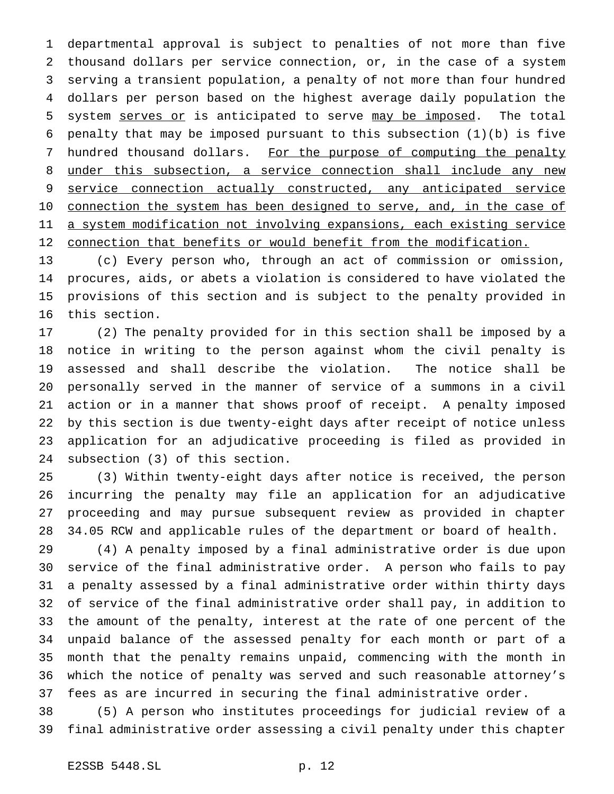departmental approval is subject to penalties of not more than five thousand dollars per service connection, or, in the case of a system serving a transient population, a penalty of not more than four hundred dollars per person based on the highest average daily population the 5 system serves or is anticipated to serve may be imposed. The total 6 penalty that may be imposed pursuant to this subsection  $(1)(b)$  is five 7 hundred thousand dollars. For the purpose of computing the penalty under this subsection, a service connection shall include any new service connection actually constructed, any anticipated service 10 connection the system has been designed to serve, and, in the case of a system modification not involving expansions, each existing service connection that benefits or would benefit from the modification.

 (c) Every person who, through an act of commission or omission, procures, aids, or abets a violation is considered to have violated the provisions of this section and is subject to the penalty provided in this section.

 (2) The penalty provided for in this section shall be imposed by a notice in writing to the person against whom the civil penalty is assessed and shall describe the violation. The notice shall be personally served in the manner of service of a summons in a civil action or in a manner that shows proof of receipt. A penalty imposed by this section is due twenty-eight days after receipt of notice unless application for an adjudicative proceeding is filed as provided in subsection (3) of this section.

 (3) Within twenty-eight days after notice is received, the person incurring the penalty may file an application for an adjudicative proceeding and may pursue subsequent review as provided in chapter 34.05 RCW and applicable rules of the department or board of health.

 (4) A penalty imposed by a final administrative order is due upon service of the final administrative order. A person who fails to pay a penalty assessed by a final administrative order within thirty days of service of the final administrative order shall pay, in addition to the amount of the penalty, interest at the rate of one percent of the unpaid balance of the assessed penalty for each month or part of a month that the penalty remains unpaid, commencing with the month in which the notice of penalty was served and such reasonable attorney's fees as are incurred in securing the final administrative order.

 (5) A person who institutes proceedings for judicial review of a final administrative order assessing a civil penalty under this chapter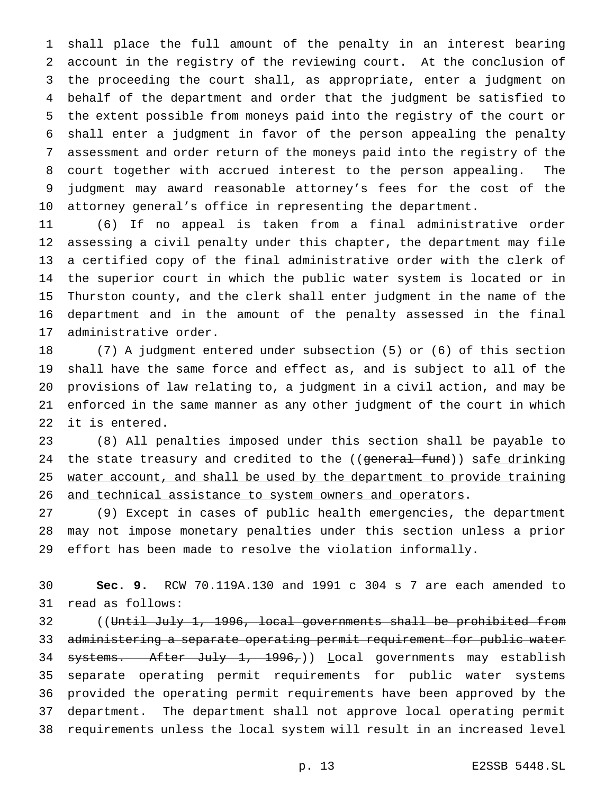shall place the full amount of the penalty in an interest bearing account in the registry of the reviewing court. At the conclusion of the proceeding the court shall, as appropriate, enter a judgment on behalf of the department and order that the judgment be satisfied to the extent possible from moneys paid into the registry of the court or shall enter a judgment in favor of the person appealing the penalty assessment and order return of the moneys paid into the registry of the court together with accrued interest to the person appealing. The judgment may award reasonable attorney's fees for the cost of the attorney general's office in representing the department.

 (6) If no appeal is taken from a final administrative order assessing a civil penalty under this chapter, the department may file a certified copy of the final administrative order with the clerk of the superior court in which the public water system is located or in Thurston county, and the clerk shall enter judgment in the name of the department and in the amount of the penalty assessed in the final administrative order.

 (7) A judgment entered under subsection (5) or (6) of this section shall have the same force and effect as, and is subject to all of the provisions of law relating to, a judgment in a civil action, and may be enforced in the same manner as any other judgment of the court in which it is entered.

 (8) All penalties imposed under this section shall be payable to 24 the state treasury and credited to the ((general fund)) safe drinking 25 water account, and shall be used by the department to provide training 26 and technical assistance to system owners and operators.

 (9) Except in cases of public health emergencies, the department may not impose monetary penalties under this section unless a prior effort has been made to resolve the violation informally.

 **Sec. 9.** RCW 70.119A.130 and 1991 c 304 s 7 are each amended to read as follows:

32 ((Until July 1, 1996, local governments shall be prohibited from administering a separate operating permit requirement for public water 34 systems. After July 1, 1996,)) Local governments may establish separate operating permit requirements for public water systems provided the operating permit requirements have been approved by the department. The department shall not approve local operating permit requirements unless the local system will result in an increased level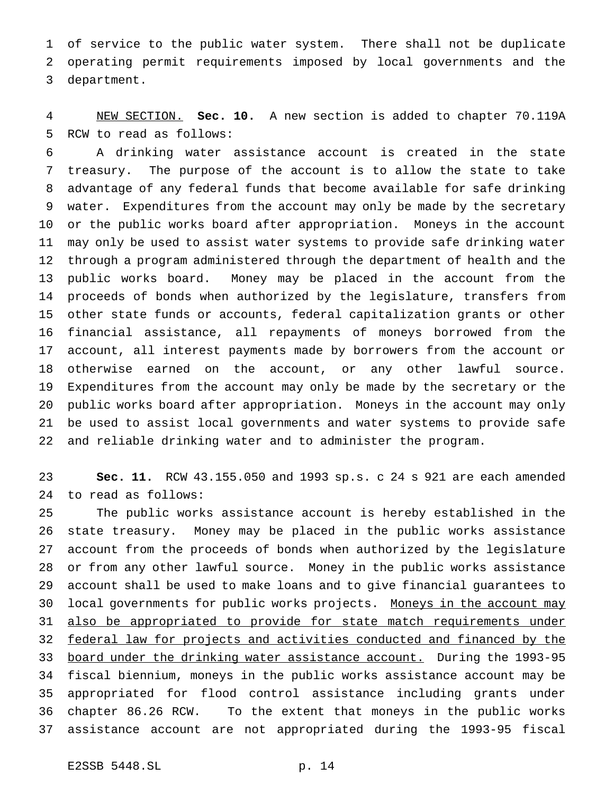of service to the public water system. There shall not be duplicate operating permit requirements imposed by local governments and the department.

 NEW SECTION. **Sec. 10.** A new section is added to chapter 70.119A RCW to read as follows:

 A drinking water assistance account is created in the state treasury. The purpose of the account is to allow the state to take advantage of any federal funds that become available for safe drinking water. Expenditures from the account may only be made by the secretary or the public works board after appropriation. Moneys in the account may only be used to assist water systems to provide safe drinking water through a program administered through the department of health and the public works board. Money may be placed in the account from the proceeds of bonds when authorized by the legislature, transfers from other state funds or accounts, federal capitalization grants or other financial assistance, all repayments of moneys borrowed from the account, all interest payments made by borrowers from the account or otherwise earned on the account, or any other lawful source. Expenditures from the account may only be made by the secretary or the public works board after appropriation. Moneys in the account may only be used to assist local governments and water systems to provide safe and reliable drinking water and to administer the program.

 **Sec. 11.** RCW 43.155.050 and 1993 sp.s. c 24 s 921 are each amended to read as follows:

 The public works assistance account is hereby established in the state treasury. Money may be placed in the public works assistance account from the proceeds of bonds when authorized by the legislature or from any other lawful source. Money in the public works assistance account shall be used to make loans and to give financial guarantees to 30 local governments for public works projects. Moneys in the account may 31 also be appropriated to provide for state match requirements under federal law for projects and activities conducted and financed by the board under the drinking water assistance account. During the 1993-95 fiscal biennium, moneys in the public works assistance account may be appropriated for flood control assistance including grants under chapter 86.26 RCW. To the extent that moneys in the public works assistance account are not appropriated during the 1993-95 fiscal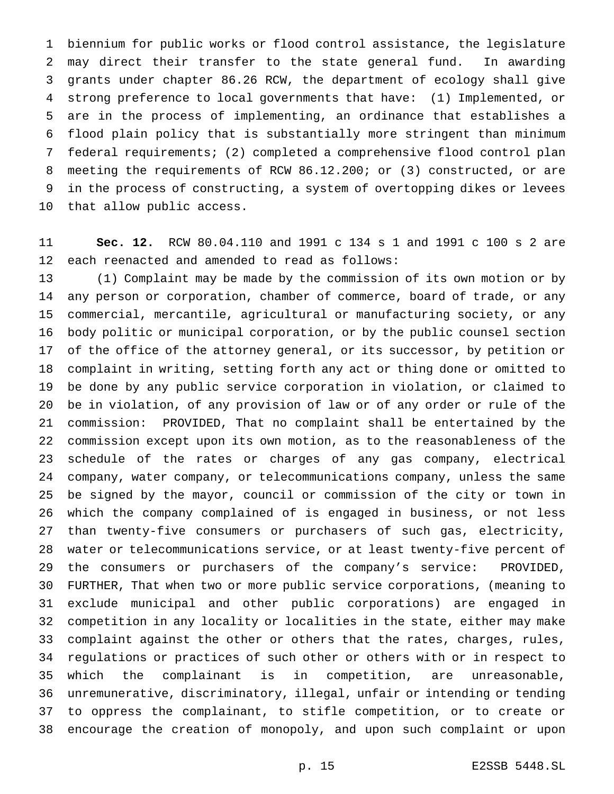biennium for public works or flood control assistance, the legislature may direct their transfer to the state general fund. In awarding grants under chapter 86.26 RCW, the department of ecology shall give strong preference to local governments that have: (1) Implemented, or are in the process of implementing, an ordinance that establishes a flood plain policy that is substantially more stringent than minimum federal requirements; (2) completed a comprehensive flood control plan meeting the requirements of RCW 86.12.200; or (3) constructed, or are in the process of constructing, a system of overtopping dikes or levees that allow public access.

 **Sec. 12.** RCW 80.04.110 and 1991 c 134 s 1 and 1991 c 100 s 2 are each reenacted and amended to read as follows:

 (1) Complaint may be made by the commission of its own motion or by any person or corporation, chamber of commerce, board of trade, or any commercial, mercantile, agricultural or manufacturing society, or any body politic or municipal corporation, or by the public counsel section of the office of the attorney general, or its successor, by petition or complaint in writing, setting forth any act or thing done or omitted to be done by any public service corporation in violation, or claimed to be in violation, of any provision of law or of any order or rule of the commission: PROVIDED, That no complaint shall be entertained by the commission except upon its own motion, as to the reasonableness of the schedule of the rates or charges of any gas company, electrical company, water company, or telecommunications company, unless the same be signed by the mayor, council or commission of the city or town in which the company complained of is engaged in business, or not less than twenty-five consumers or purchasers of such gas, electricity, water or telecommunications service, or at least twenty-five percent of the consumers or purchasers of the company's service: PROVIDED, FURTHER, That when two or more public service corporations, (meaning to exclude municipal and other public corporations) are engaged in competition in any locality or localities in the state, either may make complaint against the other or others that the rates, charges, rules, regulations or practices of such other or others with or in respect to which the complainant is in competition, are unreasonable, unremunerative, discriminatory, illegal, unfair or intending or tending to oppress the complainant, to stifle competition, or to create or encourage the creation of monopoly, and upon such complaint or upon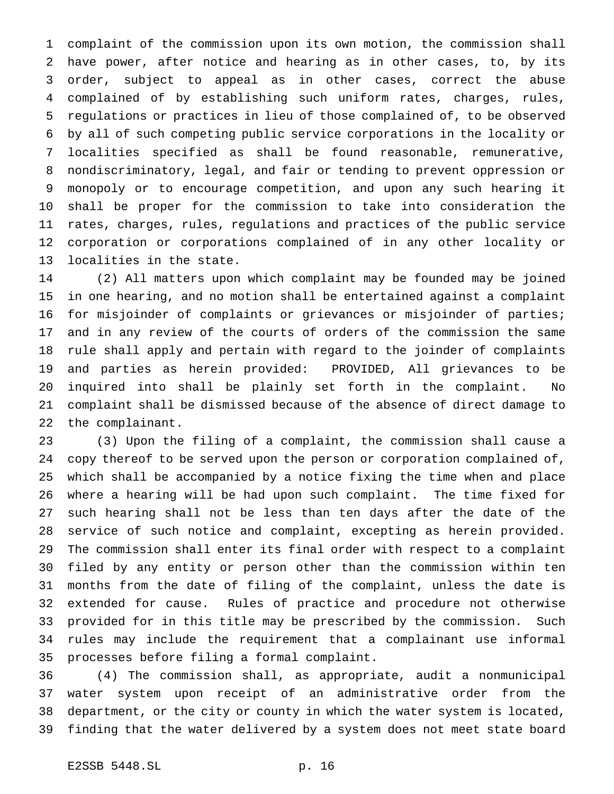complaint of the commission upon its own motion, the commission shall have power, after notice and hearing as in other cases, to, by its order, subject to appeal as in other cases, correct the abuse complained of by establishing such uniform rates, charges, rules, regulations or practices in lieu of those complained of, to be observed by all of such competing public service corporations in the locality or localities specified as shall be found reasonable, remunerative, nondiscriminatory, legal, and fair or tending to prevent oppression or monopoly or to encourage competition, and upon any such hearing it shall be proper for the commission to take into consideration the rates, charges, rules, regulations and practices of the public service corporation or corporations complained of in any other locality or localities in the state.

 (2) All matters upon which complaint may be founded may be joined in one hearing, and no motion shall be entertained against a complaint for misjoinder of complaints or grievances or misjoinder of parties; and in any review of the courts of orders of the commission the same rule shall apply and pertain with regard to the joinder of complaints and parties as herein provided: PROVIDED, All grievances to be inquired into shall be plainly set forth in the complaint. No complaint shall be dismissed because of the absence of direct damage to the complainant.

 (3) Upon the filing of a complaint, the commission shall cause a copy thereof to be served upon the person or corporation complained of, which shall be accompanied by a notice fixing the time when and place where a hearing will be had upon such complaint. The time fixed for such hearing shall not be less than ten days after the date of the service of such notice and complaint, excepting as herein provided. The commission shall enter its final order with respect to a complaint filed by any entity or person other than the commission within ten months from the date of filing of the complaint, unless the date is extended for cause. Rules of practice and procedure not otherwise provided for in this title may be prescribed by the commission. Such rules may include the requirement that a complainant use informal processes before filing a formal complaint.

 (4) The commission shall, as appropriate, audit a nonmunicipal water system upon receipt of an administrative order from the department, or the city or county in which the water system is located, finding that the water delivered by a system does not meet state board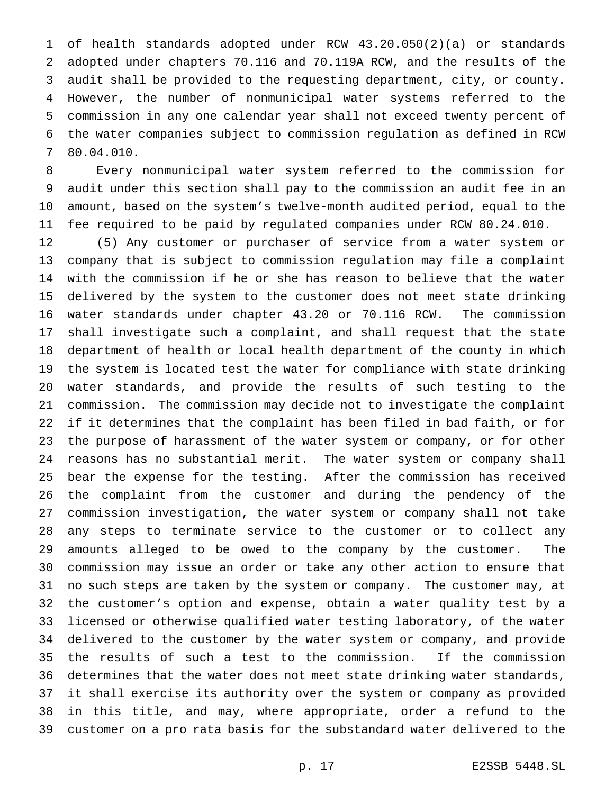of health standards adopted under RCW 43.20.050(2)(a) or standards 2 adopted under chapters 70.116 and 70.119A RCW, and the results of the audit shall be provided to the requesting department, city, or county. However, the number of nonmunicipal water systems referred to the commission in any one calendar year shall not exceed twenty percent of the water companies subject to commission regulation as defined in RCW 80.04.010.

 Every nonmunicipal water system referred to the commission for audit under this section shall pay to the commission an audit fee in an amount, based on the system's twelve-month audited period, equal to the fee required to be paid by regulated companies under RCW 80.24.010.

 (5) Any customer or purchaser of service from a water system or company that is subject to commission regulation may file a complaint with the commission if he or she has reason to believe that the water delivered by the system to the customer does not meet state drinking water standards under chapter 43.20 or 70.116 RCW. The commission shall investigate such a complaint, and shall request that the state department of health or local health department of the county in which the system is located test the water for compliance with state drinking water standards, and provide the results of such testing to the commission. The commission may decide not to investigate the complaint if it determines that the complaint has been filed in bad faith, or for the purpose of harassment of the water system or company, or for other reasons has no substantial merit. The water system or company shall bear the expense for the testing. After the commission has received the complaint from the customer and during the pendency of the commission investigation, the water system or company shall not take any steps to terminate service to the customer or to collect any amounts alleged to be owed to the company by the customer. The commission may issue an order or take any other action to ensure that no such steps are taken by the system or company. The customer may, at the customer's option and expense, obtain a water quality test by a licensed or otherwise qualified water testing laboratory, of the water delivered to the customer by the water system or company, and provide the results of such a test to the commission. If the commission determines that the water does not meet state drinking water standards, it shall exercise its authority over the system or company as provided in this title, and may, where appropriate, order a refund to the customer on a pro rata basis for the substandard water delivered to the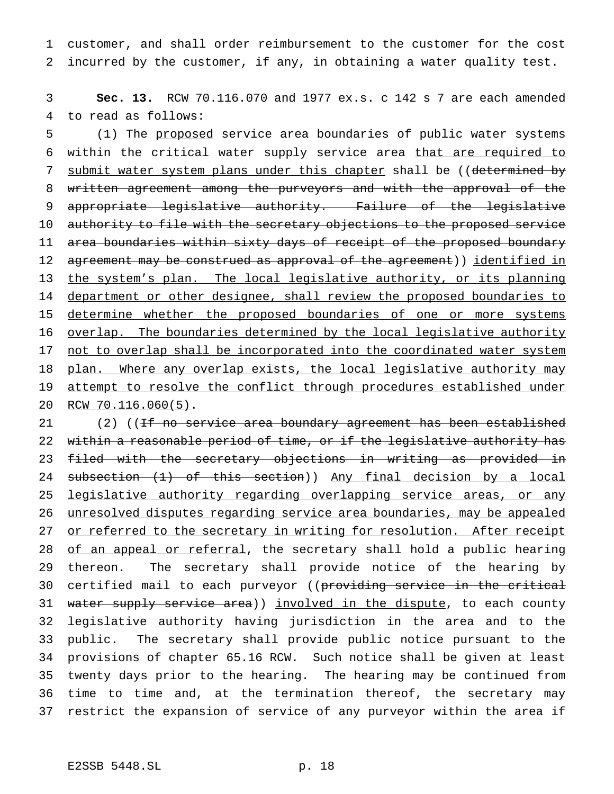1 customer, and shall order reimbursement to the customer for the cost 2 incurred by the customer, if any, in obtaining a water quality test.

3 **Sec. 13.** RCW 70.116.070 and 1977 ex.s. c 142 s 7 are each amended 4 to read as follows:

5 (1) The proposed service area boundaries of public water systems 6 within the critical water supply service area that are required to 7 submit water system plans under this chapter shall be ((determined by 8 written agreement among the purveyors and with the approval of the 9 appropriate legislative authority. Failure of the legislative 10 authority to file with the secretary objections to the proposed service 11 area boundaries within sixty days of receipt of the proposed boundary 12 agreement may be construed as approval of the agreement)) identified in 13 the system's plan. The local legislative authority, or its planning 14 department or other designee, shall review the proposed boundaries to 15 determine whether the proposed boundaries of one or more systems 16 overlap. The boundaries determined by the local legislative authority 17 not to overlap shall be incorporated into the coordinated water system 18 plan. Where any overlap exists, the local legislative authority may 19 attempt to resolve the conflict through procedures established under 20 RCW 70.116.060(5).

21 (2) ((<del>If no service area boundary agreement has been established</del> 22 within a reasonable period of time, or if the legislative authority has 23 filed with the secretary objections in writing as provided in 24 subsection (1) of this section)) Any final decision by a local 25 legislative authority regarding overlapping service areas, or any 26 unresolved disputes regarding service area boundaries, may be appealed 27 or referred to the secretary in writing for resolution. After receipt 28 of an appeal or referral, the secretary shall hold a public hearing 29 thereon. The secretary shall provide notice of the hearing by 30 certified mail to each purveyor ((providing service in the critical 31 water supply service area)) involved in the dispute, to each county 32 legislative authority having jurisdiction in the area and to the 33 public. The secretary shall provide public notice pursuant to the 34 provisions of chapter 65.16 RCW. Such notice shall be given at least 35 twenty days prior to the hearing. The hearing may be continued from 36 time to time and, at the termination thereof, the secretary may 37 restrict the expansion of service of any purveyor within the area if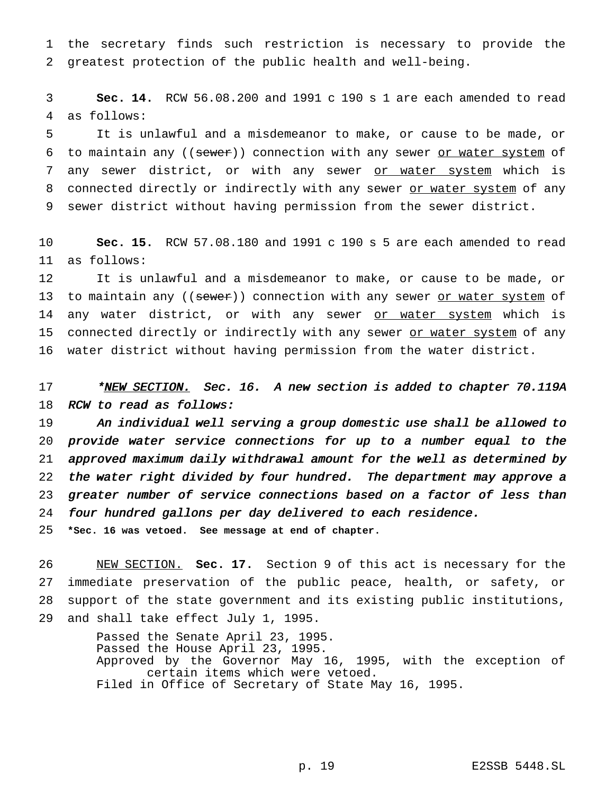1 the secretary finds such restriction is necessary to provide the 2 greatest protection of the public health and well-being.

3 **Sec. 14.** RCW 56.08.200 and 1991 c 190 s 1 are each amended to read 4 as follows:

5 It is unlawful and a misdemeanor to make, or cause to be made, or 6 to maintain any ((sewer)) connection with any sewer or water system of 7 any sewer district, or with any sewer or water system which is 8 connected directly or indirectly with any sewer or water system of any 9 sewer district without having permission from the sewer district.

10 **Sec. 15.** RCW 57.08.180 and 1991 c 190 s 5 are each amended to read 11 as follows:

12 It is unlawful and a misdemeanor to make, or cause to be made, or 13 to maintain any ((sewer)) connection with any sewer or water system of 14 any water district, or with any sewer or water system which is 15 connected directly or indirectly with any sewer or water system of any 16 water district without having permission from the water district.

17 \*NEW SECTION. Sec. 16. A new section is added to chapter 70.119A 18 RCW to read as follows:

 An individual well serving <sup>a</sup> group domestic use shall be allowed to provide water service connections for up to <sup>a</sup> number equal to the approved maximum daily withdrawal amount for the well as determined by the water right divided by four hundred. The department may approve <sup>a</sup> greater number of service connections based on <sup>a</sup> factor of less than four hundred gallons per day delivered to each residence.

25 **\*Sec. 16 was vetoed. See message at end of chapter.**

 NEW SECTION. **Sec. 17.** Section 9 of this act is necessary for the immediate preservation of the public peace, health, or safety, or support of the state government and its existing public institutions, and shall take effect July 1, 1995.

> Passed the Senate April 23, 1995. Passed the House April 23, 1995. Approved by the Governor May 16, 1995, with the exception of certain items which were vetoed. Filed in Office of Secretary of State May 16, 1995.